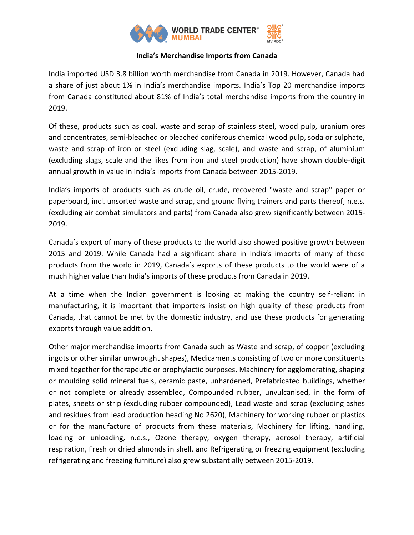

# **India's Merchandise Imports from Canada**

India imported USD 3.8 billion worth merchandise from Canada in 2019. However, Canada had a share of just about 1% in India's merchandise imports. India's Top 20 merchandise imports from Canada constituted about 81% of India's total merchandise imports from the country in 2019.

Of these, products such as coal, waste and scrap of stainless steel, wood pulp, uranium ores and concentrates, semi-bleached or bleached coniferous chemical wood pulp, soda or sulphate, waste and scrap of iron or steel (excluding slag, scale), and waste and scrap, of aluminium (excluding slags, scale and the likes from iron and steel production) have shown double-digit annual growth in value in India's imports from Canada between 2015-2019.

India's imports of products such as crude oil, crude, recovered "waste and scrap" paper or paperboard, incl. unsorted waste and scrap, and ground flying trainers and parts thereof, n.e.s. (excluding air combat simulators and parts) from Canada also grew significantly between 2015- 2019.

Canada's export of many of these products to the world also showed positive growth between 2015 and 2019. While Canada had a significant share in India's imports of many of these products from the world in 2019, Canada's exports of these products to the world were of a much higher value than India's imports of these products from Canada in 2019.

At a time when the Indian government is looking at making the country self-reliant in manufacturing, it is important that importers insist on high quality of these products from Canada, that cannot be met by the domestic industry, and use these products for generating exports through value addition.

Other major merchandise imports from Canada such as Waste and scrap, of copper (excluding ingots or other similar unwrought shapes), Medicaments consisting of two or more constituents mixed together for therapeutic or prophylactic purposes, Machinery for agglomerating, shaping or moulding solid mineral fuels, ceramic paste, unhardened, Prefabricated buildings, whether or not complete or already assembled, Compounded rubber, unvulcanised, in the form of plates, sheets or strip (excluding rubber compounded), Lead waste and scrap (excluding ashes and residues from lead production heading No 2620), Machinery for working rubber or plastics or for the manufacture of products from these materials, Machinery for lifting, handling, loading or unloading, n.e.s., Ozone therapy, oxygen therapy, aerosol therapy, artificial respiration, Fresh or dried almonds in shell, and Refrigerating or freezing equipment (excluding refrigerating and freezing furniture) also grew substantially between 2015-2019.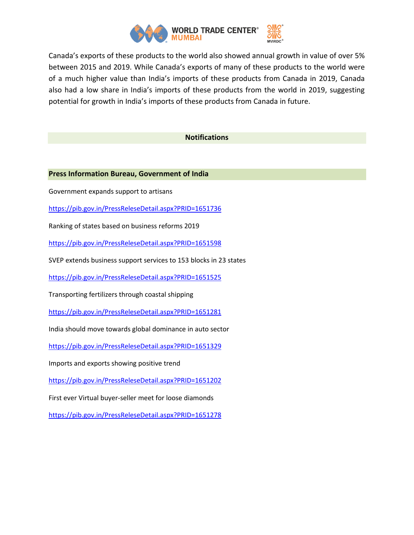

Canada's exports of these products to the world also showed annual growth in value of over 5% between 2015 and 2019. While Canada's exports of many of these products to the world were of a much higher value than India's imports of these products from Canada in 2019, Canada also had a low share in India's imports of these products from the world in 2019, suggesting potential for growth in India's imports of these products from Canada in future.

### **Notifications**

### **Press Information Bureau, Government of India**

Government expands support to artisans

<https://pib.gov.in/PressReleseDetail.aspx?PRID=1651736>

Ranking of states based on business reforms 2019

<https://pib.gov.in/PressReleseDetail.aspx?PRID=1651598>

SVEP extends business support services to 153 blocks in 23 states

<https://pib.gov.in/PressReleseDetail.aspx?PRID=1651525>

Transporting fertilizers through coastal shipping

<https://pib.gov.in/PressReleseDetail.aspx?PRID=1651281>

India should move towards global dominance in auto sector

<https://pib.gov.in/PressReleseDetail.aspx?PRID=1651329>

Imports and exports showing positive trend

<https://pib.gov.in/PressReleseDetail.aspx?PRID=1651202>

First ever Virtual buyer-seller meet for loose diamonds

<https://pib.gov.in/PressReleseDetail.aspx?PRID=1651278>